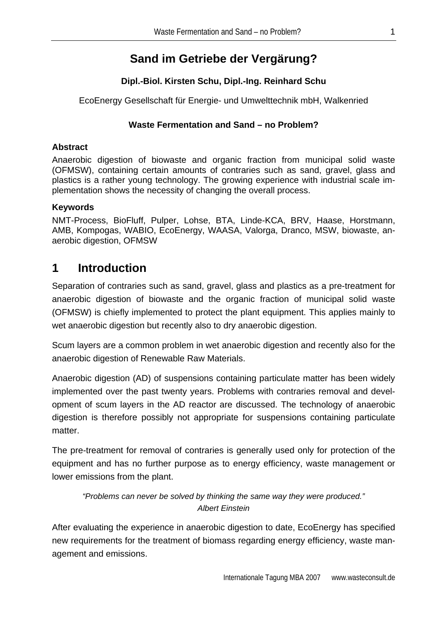# **Sand im Getriebe der Vergärung?**

## **Dipl.-Biol. Kirsten Schu, Dipl.-Ing. Reinhard Schu**

EcoEnergy Gesellschaft für Energie- und Umwelttechnik mbH, Walkenried

### **Waste Fermentation and Sand – no Problem?**

### **Abstract**

Anaerobic digestion of biowaste and organic fraction from municipal solid waste (OFMSW), containing certain amounts of contraries such as sand, gravel, glass and plastics is a rather young technology. The growing experience with industrial scale implementation shows the necessity of changing the overall process.

#### **Keywords**

NMT-Process, BioFluff, Pulper, Lohse, BTA, Linde-KCA, BRV, Haase, Horstmann, AMB, Kompogas, WABIO, EcoEnergy, WAASA, Valorga, Dranco, MSW, biowaste, anaerobic digestion, OFMSW

# **1 Introduction**

Separation of contraries such as sand, gravel, glass and plastics as a pre-treatment for anaerobic digestion of biowaste and the organic fraction of municipal solid waste (OFMSW) is chiefly implemented to protect the plant equipment. This applies mainly to wet anaerobic digestion but recently also to dry anaerobic digestion.

Scum layers are a common problem in wet anaerobic digestion and recently also for the anaerobic digestion of Renewable Raw Materials.

Anaerobic digestion (AD) of suspensions containing particulate matter has been widely implemented over the past twenty years. Problems with contraries removal and development of scum layers in the AD reactor are discussed. The technology of anaerobic digestion is therefore possibly not appropriate for suspensions containing particulate matter

The pre-treatment for removal of contraries is generally used only for protection of the equipment and has no further purpose as to energy efficiency, waste management or lower emissions from the plant.

### *"Problems can never be solved by thinking the same way they were produced." Albert Einstein*

After evaluating the experience in anaerobic digestion to date, EcoEnergy has specified new requirements for the treatment of biomass regarding energy efficiency, waste management and emissions.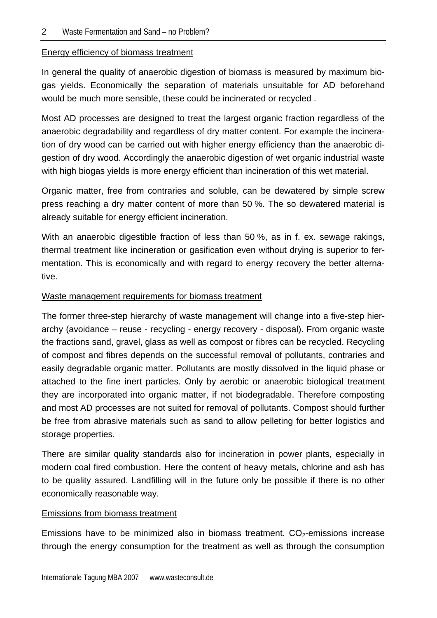#### Energy efficiency of biomass treatment

In general the quality of anaerobic digestion of biomass is measured by maximum biogas yields. Economically the separation of materials unsuitable for AD beforehand would be much more sensible, these could be incinerated or recycled .

Most AD processes are designed to treat the largest organic fraction regardless of the anaerobic degradability and regardless of dry matter content. For example the incineration of dry wood can be carried out with higher energy efficiency than the anaerobic digestion of dry wood. Accordingly the anaerobic digestion of wet organic industrial waste with high biogas yields is more energy efficient than incineration of this wet material.

Organic matter, free from contraries and soluble, can be dewatered by simple screw press reaching a dry matter content of more than 50 %. The so dewatered material is already suitable for energy efficient incineration.

With an anaerobic digestible fraction of less than 50 %, as in f. ex. sewage rakings, thermal treatment like incineration or gasification even without drying is superior to fermentation. This is economically and with regard to energy recovery the better alternative.

#### Waste management requirements for biomass treatment

The former three-step hierarchy of waste management will change into a five-step hierarchy (avoidance – reuse - recycling - energy recovery - disposal). From organic waste the fractions sand, gravel, glass as well as compost or fibres can be recycled. Recycling of compost and fibres depends on the successful removal of pollutants, contraries and easily degradable organic matter. Pollutants are mostly dissolved in the liquid phase or attached to the fine inert particles. Only by aerobic or anaerobic biological treatment they are incorporated into organic matter, if not biodegradable. Therefore composting and most AD processes are not suited for removal of pollutants. Compost should further be free from abrasive materials such as sand to allow pelleting for better logistics and storage properties.

There are similar quality standards also for incineration in power plants, especially in modern coal fired combustion. Here the content of heavy metals, chlorine and ash has to be quality assured. Landfilling will in the future only be possible if there is no other economically reasonable way.

#### Emissions from biomass treatment

Emissions have to be minimized also in biomass treatment.  $CO<sub>2</sub>$ -emissions increase through the energy consumption for the treatment as well as through the consumption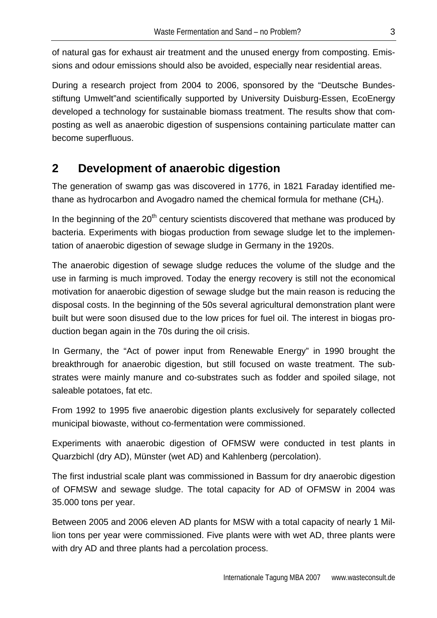of natural gas for exhaust air treatment and the unused energy from composting. Emissions and odour emissions should also be avoided, especially near residential areas.

During a research project from 2004 to 2006, sponsored by the "Deutsche Bundesstiftung Umwelt"and scientifically supported by University Duisburg-Essen, EcoEnergy developed a technology for sustainable biomass treatment. The results show that composting as well as anaerobic digestion of suspensions containing particulate matter can become superfluous.

# **2 Development of anaerobic digestion**

The generation of swamp gas was discovered in 1776, in 1821 Faraday identified methane as hydrocarbon and Avogadro named the chemical formula for methane  $(CH_4)$ .

In the beginning of the  $20<sup>th</sup>$  century scientists discovered that methane was produced by bacteria. Experiments with biogas production from sewage sludge let to the implementation of anaerobic digestion of sewage sludge in Germany in the 1920s.

The anaerobic digestion of sewage sludge reduces the volume of the sludge and the use in farming is much improved. Today the energy recovery is still not the economical motivation for anaerobic digestion of sewage sludge but the main reason is reducing the disposal costs. In the beginning of the 50s several agricultural demonstration plant were built but were soon disused due to the low prices for fuel oil. The interest in biogas production began again in the 70s during the oil crisis.

In Germany, the "Act of power input from Renewable Energy" in 1990 brought the breakthrough for anaerobic digestion, but still focused on waste treatment. The substrates were mainly manure and co-substrates such as fodder and spoiled silage, not saleable potatoes, fat etc.

From 1992 to 1995 five anaerobic digestion plants exclusively for separately collected municipal biowaste, without co-fermentation were commissioned.

Experiments with anaerobic digestion of OFMSW were conducted in test plants in Quarzbichl (dry AD), Münster (wet AD) and Kahlenberg (percolation).

The first industrial scale plant was commissioned in Bassum for dry anaerobic digestion of OFMSW and sewage sludge. The total capacity for AD of OFMSW in 2004 was 35.000 tons per year.

Between 2005 and 2006 eleven AD plants for MSW with a total capacity of nearly 1 Million tons per year were commissioned. Five plants were with wet AD, three plants were with dry AD and three plants had a percolation process.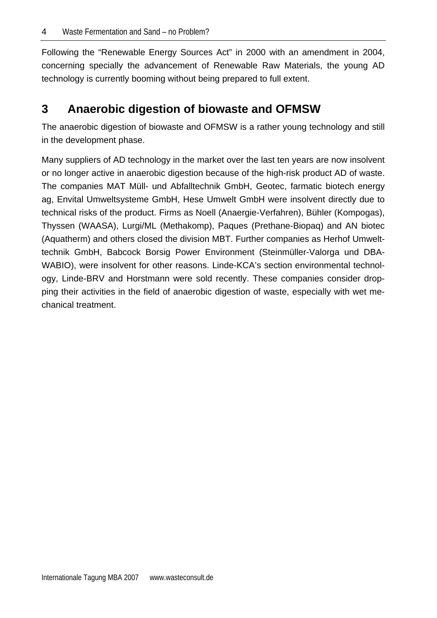Following the "Renewable Energy Sources Act" in 2000 with an amendment in 2004, concerning specially the advancement of Renewable Raw Materials, the young AD technology is currently booming without being prepared to full extent.

# **3 Anaerobic digestion of biowaste and OFMSW**

The anaerobic digestion of biowaste and OFMSW is a rather young technology and still in the development phase.

Many suppliers of AD technology in the market over the last ten years are now insolvent or no longer active in anaerobic digestion because of the high-risk product AD of waste. The companies MAT Müll- und Abfalltechnik GmbH, Geotec, farmatic biotech energy ag, Envital Umweltsysteme GmbH, Hese Umwelt GmbH were insolvent directly due to technical risks of the product. Firms as Noell (Anaergie-Verfahren), Bühler (Kompogas), Thyssen (WAASA), Lurgi/ML (Methakomp), Paques (Prethane-Biopaq) and AN biotec (Aquatherm) and others closed the division MBT. Further companies as Herhof Umwelttechnik GmbH, Babcock Borsig Power Environment (Steinmüller-Valorga und DBA-WABIO), were insolvent for other reasons. Linde-KCA's section environmental technology, Linde-BRV and Horstmann were sold recently. These companies consider dropping their activities in the field of anaerobic digestion of waste, especially with wet mechanical treatment.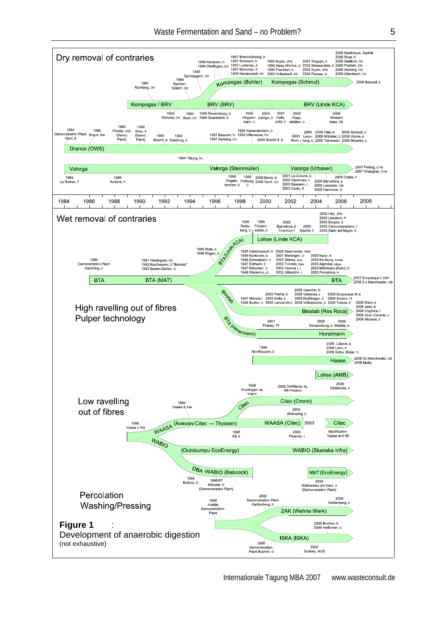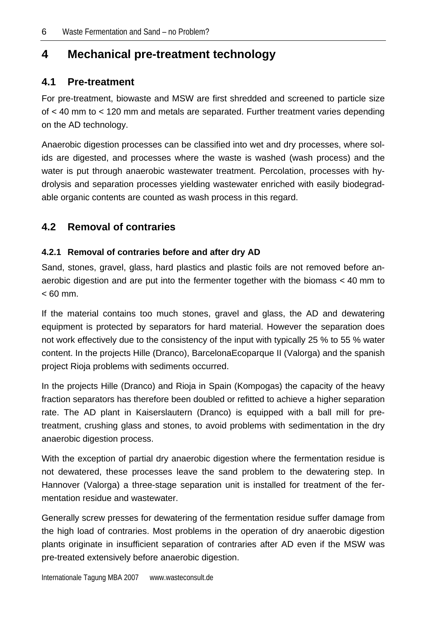# **4 Mechanical pre-treatment technology**

## **4.1 Pre-treatment**

For pre-treatment, biowaste and MSW are first shredded and screened to particle size of < 40 mm to < 120 mm and metals are separated. Further treatment varies depending on the AD technology.

Anaerobic digestion processes can be classified into wet and dry processes, where solids are digested, and processes where the waste is washed (wash process) and the water is put through anaerobic wastewater treatment. Percolation, processes with hydrolysis and separation processes yielding wastewater enriched with easily biodegradable organic contents are counted as wash process in this regard.

## **4.2 Removal of contraries**

### **4.2.1 Removal of contraries before and after dry AD**

Sand, stones, gravel, glass, hard plastics and plastic foils are not removed before anaerobic digestion and are put into the fermenter together with the biomass < 40 mm to  $< 60$  mm.

If the material contains too much stones, gravel and glass, the AD and dewatering equipment is protected by separators for hard material. However the separation does not work effectively due to the consistency of the input with typically 25 % to 55 % water content. In the projects Hille (Dranco), BarcelonaEcoparque II (Valorga) and the spanish project Rioja problems with sediments occurred.

In the projects Hille (Dranco) and Rioja in Spain (Kompogas) the capacity of the heavy fraction separators has therefore been doubled or refitted to achieve a higher separation rate. The AD plant in Kaiserslautern (Dranco) is equipped with a ball mill for pretreatment, crushing glass and stones, to avoid problems with sedimentation in the dry anaerobic digestion process.

With the exception of partial dry anaerobic digestion where the fermentation residue is not dewatered, these processes leave the sand problem to the dewatering step. In Hannover (Valorga) a three-stage separation unit is installed for treatment of the fermentation residue and wastewater.

Generally screw presses for dewatering of the fermentation residue suffer damage from the high load of contraries. Most problems in the operation of dry anaerobic digestion plants originate in insufficient separation of contraries after AD even if the MSW was pre-treated extensively before anaerobic digestion.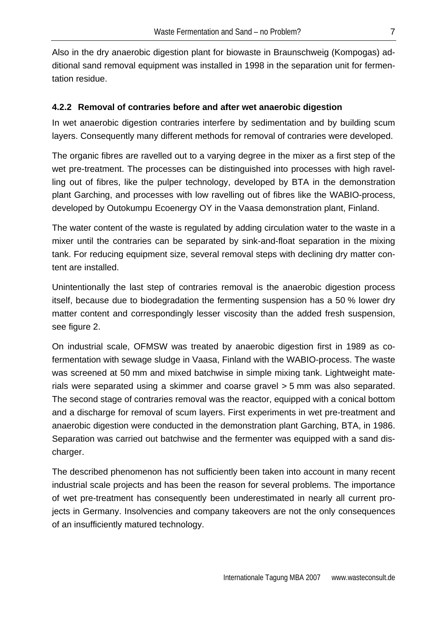Also in the dry anaerobic digestion plant for biowaste in Braunschweig (Kompogas) additional sand removal equipment was installed in 1998 in the separation unit for fermentation residue.

### **4.2.2 Removal of contraries before and after wet anaerobic digestion**

In wet anaerobic digestion contraries interfere by sedimentation and by building scum layers. Consequently many different methods for removal of contraries were developed.

The organic fibres are ravelled out to a varying degree in the mixer as a first step of the wet pre-treatment. The processes can be distinguished into processes with high ravelling out of fibres, like the pulper technology, developed by BTA in the demonstration plant Garching, and processes with low ravelling out of fibres like the WABIO-process, developed by Outokumpu Ecoenergy OY in the Vaasa demonstration plant, Finland.

The water content of the waste is regulated by adding circulation water to the waste in a mixer until the contraries can be separated by sink-and-float separation in the mixing tank. For reducing equipment size, several removal steps with declining dry matter content are installed.

Unintentionally the last step of contraries removal is the anaerobic digestion process itself, because due to biodegradation the fermenting suspension has a 50 % lower dry matter content and correspondingly lesser viscosity than the added fresh suspension, see figure 2.

On industrial scale, OFMSW was treated by anaerobic digestion first in 1989 as cofermentation with sewage sludge in Vaasa, Finland with the WABIO-process. The waste was screened at 50 mm and mixed batchwise in simple mixing tank. Lightweight materials were separated using a skimmer and coarse gravel > 5 mm was also separated. The second stage of contraries removal was the reactor, equipped with a conical bottom and a discharge for removal of scum layers. First experiments in wet pre-treatment and anaerobic digestion were conducted in the demonstration plant Garching, BTA, in 1986. Separation was carried out batchwise and the fermenter was equipped with a sand discharger.

The described phenomenon has not sufficiently been taken into account in many recent industrial scale projects and has been the reason for several problems. The importance of wet pre-treatment has consequently been underestimated in nearly all current projects in Germany. Insolvencies and company takeovers are not the only consequences of an insufficiently matured technology.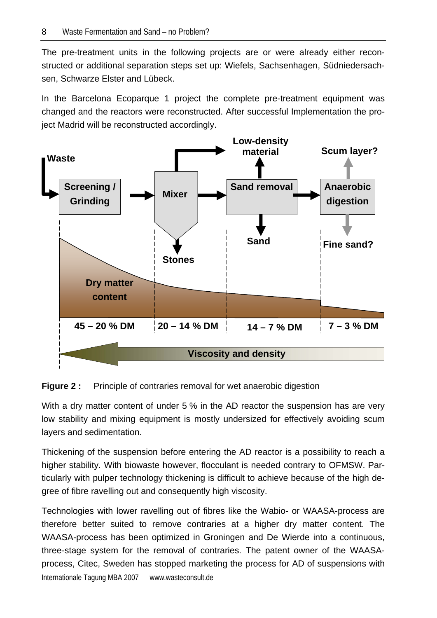The pre-treatment units in the following projects are or were already either reconstructed or additional separation steps set up: Wiefels, Sachsenhagen, Südniedersachsen, Schwarze Elster and Lübeck.

In the Barcelona Ecoparque 1 project the complete pre-treatment equipment was changed and the reactors were reconstructed. After successful Implementation the project Madrid will be reconstructed accordingly.



### **Figure 2 :** Principle of contraries removal for wet anaerobic digestion

With a dry matter content of under 5 % in the AD reactor the suspension has are very low stability and mixing equipment is mostly undersized for effectively avoiding scum layers and sedimentation.

Thickening of the suspension before entering the AD reactor is a possibility to reach a higher stability. With biowaste however, flocculant is needed contrary to OFMSW. Particularly with pulper technology thickening is difficult to achieve because of the high degree of fibre ravelling out and consequently high viscosity.

Internationale Tagung MBA 2007 www.wasteconsult.de Technologies with lower ravelling out of fibres like the Wabio- or WAASA-process are therefore better suited to remove contraries at a higher dry matter content. The WAASA-process has been optimized in Groningen and De Wierde into a continuous, three-stage system for the removal of contraries. The patent owner of the WAASAprocess, Citec, Sweden has stopped marketing the process for AD of suspensions with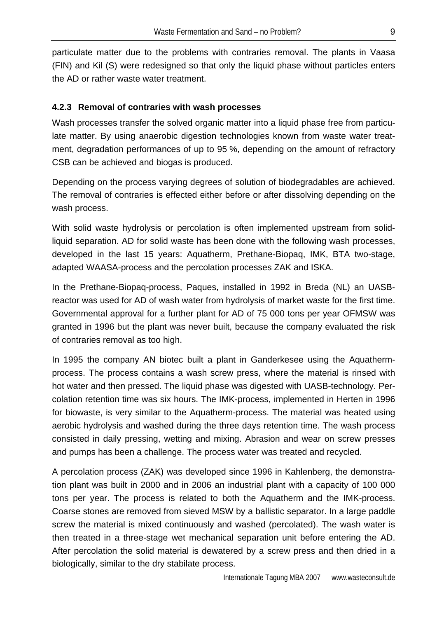particulate matter due to the problems with contraries removal. The plants in Vaasa (FIN) and Kil (S) were redesigned so that only the liquid phase without particles enters the AD or rather waste water treatment.

### **4.2.3 Removal of contraries with wash processes**

Wash processes transfer the solved organic matter into a liquid phase free from particulate matter. By using anaerobic digestion technologies known from waste water treatment, degradation performances of up to 95 %, depending on the amount of refractory CSB can be achieved and biogas is produced.

Depending on the process varying degrees of solution of biodegradables are achieved. The removal of contraries is effected either before or after dissolving depending on the wash process.

With solid waste hydrolysis or percolation is often implemented upstream from solidliquid separation. AD for solid waste has been done with the following wash processes, developed in the last 15 years: Aquatherm, Prethane-Biopaq, IMK, BTA two-stage, adapted WAASA-process and the percolation processes ZAK and ISKA.

In the Prethane-Biopaq-process, Paques, installed in 1992 in Breda (NL) an UASBreactor was used for AD of wash water from hydrolysis of market waste for the first time. Governmental approval for a further plant for AD of 75 000 tons per year OFMSW was granted in 1996 but the plant was never built, because the company evaluated the risk of contraries removal as too high.

In 1995 the company AN biotec built a plant in Ganderkesee using the Aquathermprocess. The process contains a wash screw press, where the material is rinsed with hot water and then pressed. The liquid phase was digested with UASB-technology. Percolation retention time was six hours. The IMK-process, implemented in Herten in 1996 for biowaste, is very similar to the Aquatherm-process. The material was heated using aerobic hydrolysis and washed during the three days retention time. The wash process consisted in daily pressing, wetting and mixing. Abrasion and wear on screw presses and pumps has been a challenge. The process water was treated and recycled.

A percolation process (ZAK) was developed since 1996 in Kahlenberg, the demonstration plant was built in 2000 and in 2006 an industrial plant with a capacity of 100 000 tons per year. The process is related to both the Aquatherm and the IMK-process. Coarse stones are removed from sieved MSW by a ballistic separator. In a large paddle screw the material is mixed continuously and washed (percolated). The wash water is then treated in a three-stage wet mechanical separation unit before entering the AD. After percolation the solid material is dewatered by a screw press and then dried in a biologically, similar to the dry stabilate process.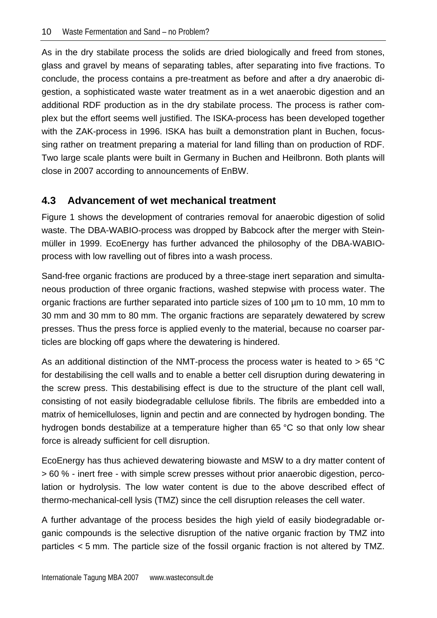As in the dry stabilate process the solids are dried biologically and freed from stones, glass and gravel by means of separating tables, after separating into five fractions. To conclude, the process contains a pre-treatment as before and after a dry anaerobic digestion, a sophisticated waste water treatment as in a wet anaerobic digestion and an additional RDF production as in the dry stabilate process. The process is rather complex but the effort seems well justified. The ISKA-process has been developed together with the ZAK-process in 1996. ISKA has built a demonstration plant in Buchen, focussing rather on treatment preparing a material for land filling than on production of RDF. Two large scale plants were built in Germany in Buchen and Heilbronn. Both plants will close in 2007 according to announcements of EnBW.

## **4.3 Advancement of wet mechanical treatment**

Figure 1 shows the development of contraries removal for anaerobic digestion of solid waste. The DBA-WABIO-process was dropped by Babcock after the merger with Steinmüller in 1999. EcoEnergy has further advanced the philosophy of the DBA-WABIOprocess with low ravelling out of fibres into a wash process.

Sand-free organic fractions are produced by a three-stage inert separation and simultaneous production of three organic fractions, washed stepwise with process water. The organic fractions are further separated into particle sizes of 100 µm to 10 mm, 10 mm to 30 mm and 30 mm to 80 mm. The organic fractions are separately dewatered by screw presses. Thus the press force is applied evenly to the material, because no coarser particles are blocking off gaps where the dewatering is hindered.

As an additional distinction of the NMT-process the process water is heated to  $> 65 °C$ for destabilising the cell walls and to enable a better cell disruption during dewatering in the screw press. This destabilising effect is due to the structure of the plant cell wall, consisting of not easily biodegradable cellulose fibrils. The fibrils are embedded into a matrix of hemicelluloses, lignin and pectin and are connected by hydrogen bonding. The hydrogen bonds destabilize at a temperature higher than 65 °C so that only low shear force is already sufficient for cell disruption.

EcoEnergy has thus achieved dewatering biowaste and MSW to a dry matter content of > 60 % - inert free - with simple screw presses without prior anaerobic digestion, percolation or hydrolysis. The low water content is due to the above described effect of thermo-mechanical-cell lysis (TMZ) since the cell disruption releases the cell water.

A further advantage of the process besides the high yield of easily biodegradable organic compounds is the selective disruption of the native organic fraction by TMZ into particles < 5 mm. The particle size of the fossil organic fraction is not altered by TMZ.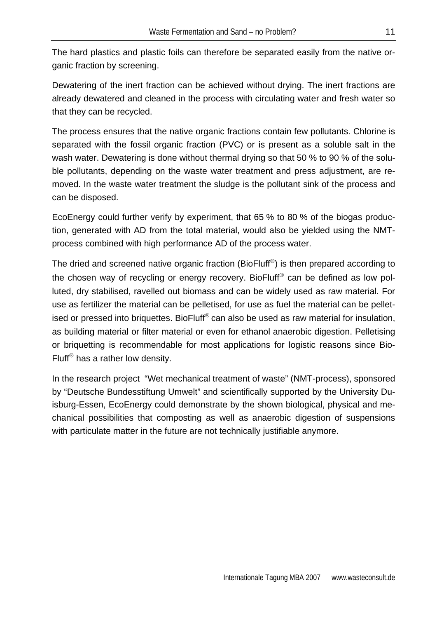The hard plastics and plastic foils can therefore be separated easily from the native organic fraction by screening.

Dewatering of the inert fraction can be achieved without drying. The inert fractions are already dewatered and cleaned in the process with circulating water and fresh water so that they can be recycled.

The process ensures that the native organic fractions contain few pollutants. Chlorine is separated with the fossil organic fraction (PVC) or is present as a soluble salt in the wash water. Dewatering is done without thermal drying so that 50 % to 90 % of the soluble pollutants, depending on the waste water treatment and press adjustment, are removed. In the waste water treatment the sludge is the pollutant sink of the process and can be disposed.

EcoEnergy could further verify by experiment, that 65 % to 80 % of the biogas production, generated with AD from the total material, would also be yielded using the NMTprocess combined with high performance AD of the process water.

The dried and screened native organic fraction (BioFluff®) is then prepared according to the chosen way of recycling or energy recovery. BioFluff® can be defined as low polluted, dry stabilised, ravelled out biomass and can be widely used as raw material. For use as fertilizer the material can be pelletised, for use as fuel the material can be pelletised or pressed into briquettes. BioFluff<sup>®</sup> can also be used as raw material for insulation, as building material or filter material or even for ethanol anaerobic digestion. Pelletising or briquetting is recommendable for most applications for logistic reasons since Bio-Fluff® has a rather low density.

In the research project "Wet mechanical treatment of waste" (NMT-process), sponsored by "Deutsche Bundesstiftung Umwelt" and scientifically supported by the University Duisburg-Essen, EcoEnergy could demonstrate by the shown biological, physical and mechanical possibilities that composting as well as anaerobic digestion of suspensions with particulate matter in the future are not technically justifiable anymore.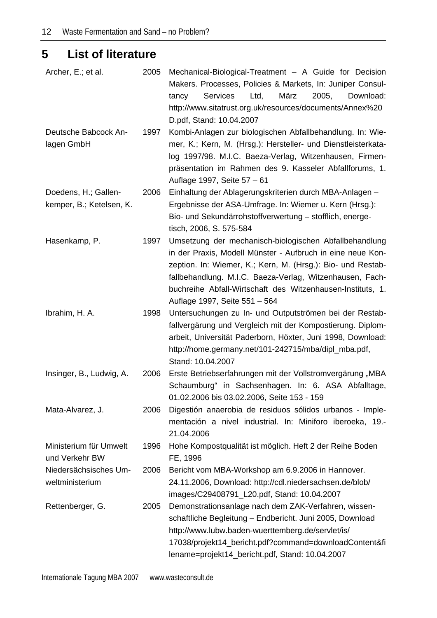# **5 List of literature**

| Archer, E.; et al.       | 2005 | Mechanical-Biological-Treatment - A Guide for Decision         |
|--------------------------|------|----------------------------------------------------------------|
|                          |      | Makers. Processes, Policies & Markets, In: Juniper Consul-     |
|                          |      | März<br>2005,<br><b>Services</b><br>Ltd,<br>Download:<br>tancy |
|                          |      | http://www.sitatrust.org.uk/resources/documents/Annex%20       |
|                          |      | D.pdf, Stand: 10.04.2007                                       |
| Deutsche Babcock An-     | 1997 | Kombi-Anlagen zur biologischen Abfallbehandlung. In: Wie-      |
| lagen GmbH               |      | mer, K.; Kern, M. (Hrsg.): Hersteller- und Dienstleisterkata-  |
|                          |      | log 1997/98. M.I.C. Baeza-Verlag, Witzenhausen, Firmen-        |
|                          |      | präsentation im Rahmen des 9. Kasseler Abfallforums, 1.        |
|                          |      | Auflage 1997, Seite 57 - 61                                    |
| Doedens, H.; Gallen-     | 2006 | Einhaltung der Ablagerungskriterien durch MBA-Anlagen -        |
| kemper, B.; Ketelsen, K. |      | Ergebnisse der ASA-Umfrage. In: Wiemer u. Kern (Hrsg.):        |
|                          |      | Bio- und Sekundärrohstoffverwertung - stofflich, energe-       |
|                          |      | tisch, 2006, S. 575-584                                        |
| Hasenkamp, P.            | 1997 | Umsetzung der mechanisch-biologischen Abfallbehandlung         |
|                          |      | in der Praxis, Modell Münster - Aufbruch in eine neue Kon-     |
|                          |      | zeption. In: Wiemer, K.; Kern, M. (Hrsg.): Bio- und Restab-    |
|                          |      | fallbehandlung. M.I.C. Baeza-Verlag, Witzenhausen, Fach-       |
|                          |      | buchreihe Abfall-Wirtschaft des Witzenhausen-Instituts, 1.     |
|                          |      | Auflage 1997, Seite 551 - 564                                  |
| Ibrahim, H. A.           | 1998 | Untersuchungen zu In- und Outputströmen bei der Restab-        |
|                          |      | fallvergärung und Vergleich mit der Kompostierung. Diplom-     |
|                          |      | arbeit, Universität Paderborn, Höxter, Juni 1998, Download:    |
|                          |      | http://home.germany.net/101-242715/mba/dipl_mba.pdf,           |
|                          |      | Stand: 10.04.2007                                              |
| Insinger, B., Ludwig, A. | 2006 | Erste Betriebserfahrungen mit der Vollstromvergärung "MBA      |
|                          |      | Schaumburg" in Sachsenhagen. In: 6. ASA Abfalltage,            |
|                          |      | 01.02.2006 bis 03.02.2006, Seite 153 - 159                     |
| Mata-Alvarez, J.         | 2006 | Digestión anaerobia de residuos sólidos urbanos - Imple-       |
|                          |      | mentación a nivel industrial. In: Miniforo iberoeka, 19.-      |
|                          |      | 21.04.2006                                                     |
| Ministerium für Umwelt   | 1996 | Hohe Kompostqualität ist möglich. Heft 2 der Reihe Boden       |
| und Verkehr BW           |      | FE, 1996                                                       |
| Niedersächsisches Um-    | 2006 | Bericht vom MBA-Workshop am 6.9.2006 in Hannover.              |
| weltministerium          |      | 24.11.2006, Download: http://cdl.niedersachsen.de/blob/        |
|                          |      | images/C29408791_L20.pdf, Stand: 10.04.2007                    |
| Rettenberger, G.         | 2005 | Demonstrationsanlage nach dem ZAK-Verfahren, wissen-           |
|                          |      | schaftliche Begleitung - Endbericht. Juni 2005, Download       |
|                          |      | http://www.lubw.baden-wuerttemberg.de/servlet/is/              |
|                          |      | 17038/projekt14_bericht.pdf?command=downloadContent&fi         |
|                          |      | lename=projekt14_bericht.pdf, Stand: 10.04.2007                |